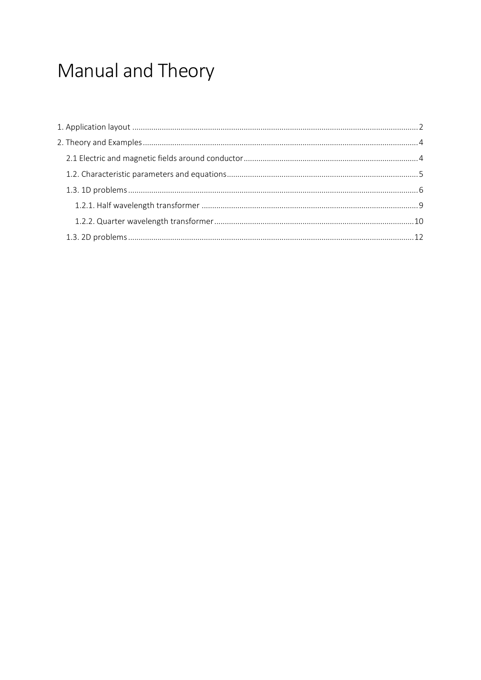# Manual and Theory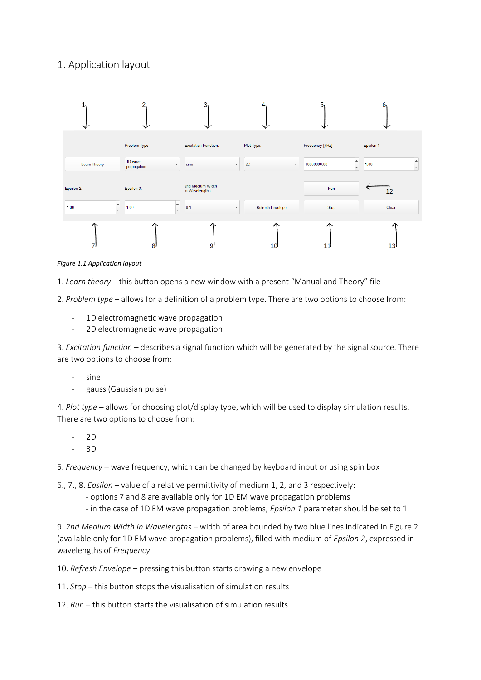# <span id="page-1-0"></span>1. Application layout



*Figure 1.1 Application layout*

1. *Learn theory* – this button opens a new window with a present "Manual and Theory" file

2. *Problem type* – allows for a definition of a problem type. There are two options to choose from:

- 1D electromagnetic wave propagation
- 2D electromagnetic wave propagation

3. *Excitation function* – describes a signal function which will be generated by the signal source. There are two options to choose from:

- sine
- gauss (Gaussian pulse)

4. *Plot type* – allows for choosing plot/display type, which will be used to display simulation results. There are two options to choose from:

- 2D
- $3D$

5. *Frequency* – wave frequency, which can be changed by keyboard input or using spin box

6., 7., 8. *Epsilon* – value of a relative permittivity of medium 1, 2, and 3 respectively:

- options 7 and 8 are available only for 1D EM wave propagation problems
- in the case of 1D EM wave propagation problems, *Epsilon 1* parameter should be set to 1

9. *2nd Medium Width in Wavelengths* – width of area bounded by two blue lines indicated in Figure 2 (available only for 1D EM wave propagation problems), filled with medium of *Epsilon 2*, expressed in wavelengths of *Frequency*.

10. *Refresh Envelope* – pressing this button starts drawing a new envelope

11. *Stop* – this button stops the visualisation of simulation results

12. *Run* – this button starts the visualisation of simulation results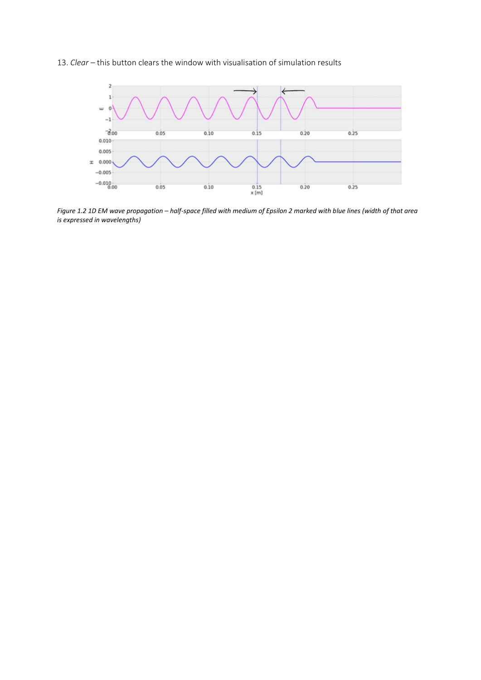13. *Clear* – this button clears the window with visualisation of simulation results



*Figure 1.2 1D EM wave propagation – half-space filled with medium of Epsilon 2 marked with blue lines (width of that area is expressed in wavelengths)*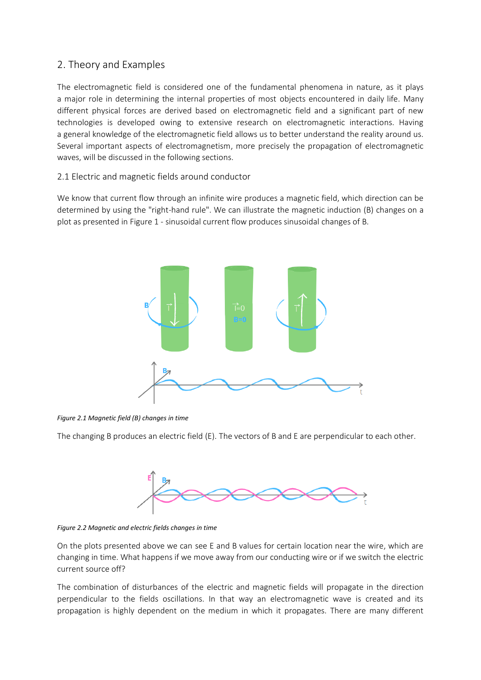## <span id="page-3-0"></span>2. Theory and Examples

The electromagnetic field is considered one of the fundamental phenomena in nature, as it plays a major role in determining the internal properties of most objects encountered in daily life. Many different physical forces are derived based on electromagnetic field and a significant part of new technologies is developed owing to extensive research on electromagnetic interactions. Having a general knowledge of the electromagnetic field allows us to better understand the reality around us. Several important aspects of electromagnetism, more precisely the propagation of electromagnetic waves, will be discussed in the following sections.

## <span id="page-3-1"></span>2.1 Electric and magnetic fields around conductor

We know that current flow through an infinite wire produces a magnetic field, which direction can be determined by using the "right-hand rule". We can illustrate the magnetic induction (B) changes on a plot as presented in Figure 1 - sinusoidal current flow produces sinusoidal changes of B.



*Figure 2.1 Magnetic field (B) changes in time*

The changing B produces an electric field (E). The vectors of B and E are perpendicular to each other.



*Figure 2.2 Magnetic and electric fields changes in time*

On the plots presented above we can see E and B values for certain location near the wire, which are changing in time. What happens if we move away from our conducting wire or if we switch the electric current source off?

The combination of disturbances of the electric and magnetic fields will propagate in the direction perpendicular to the fields oscillations. In that way an electromagnetic wave is created and its propagation is highly dependent on the medium in which it propagates. There are many different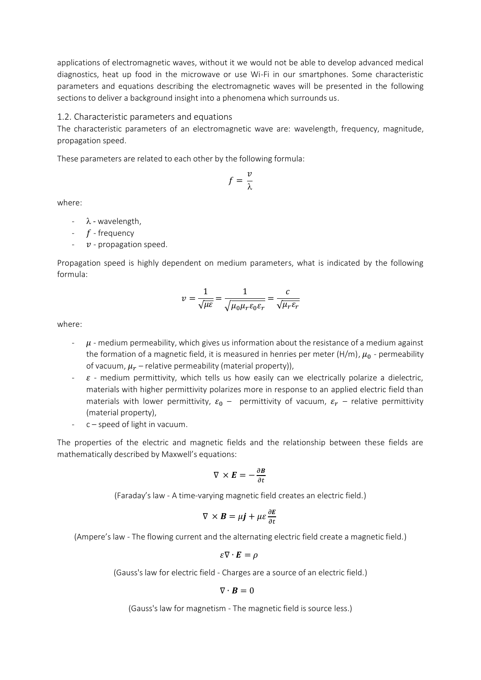applications of electromagnetic waves, without it we would not be able to develop advanced medical diagnostics, heat up food in the microwave or use Wi-Fi in our smartphones. Some characteristic parameters and equations describing the electromagnetic waves will be presented in the following sections to deliver a background insight into a phenomena which surrounds us.

#### <span id="page-4-0"></span>1.2. Characteristic parameters and equations

The characteristic parameters of an electromagnetic wave are: wavelength, frequency, magnitude, propagation speed.

These parameters are related to each other by the following formula:

$$
f=\frac{v}{\lambda}
$$

where:

- $-\lambda$  wavelength,
- $-$  f frequency
- $-v$  propagation speed.

Propagation speed is highly dependent on medium parameters, what is indicated by the following formula:

$$
\nu = \frac{1}{\sqrt{\mu \varepsilon}} = \frac{1}{\sqrt{\mu_0 \mu_r \varepsilon_0 \varepsilon_r}} = \frac{c}{\sqrt{\mu_r \varepsilon_r}}
$$

where:

- $\mu$  medium permeability, which gives us information about the resistance of a medium against the formation of a magnetic field, it is measured in henries per meter (H/m),  $\mu_0$  - permeability of vacuum,  $\mu_r$  – relative permeability (material property)),
- $\epsilon$  medium permittivity, which tells us how easily can we electrically polarize a dielectric, materials with higher permittivity polarizes more in response to an applied electric field than materials with lower permittivity,  $\varepsilon_0$  – permittivity of vacuum,  $\varepsilon_r$  – relative permittivity (material property),
- $c$  speed of light in vacuum.

The properties of the electric and magnetic fields and the relationship between these fields are mathematically described by Maxwell's equations:

$$
\nabla \times \boldsymbol{E} = -\frac{\partial \boldsymbol{B}}{\partial t}
$$

(Faraday's law - A time-varying magnetic field creates an electric field.)

$$
\nabla \times \boldsymbol{B} = \mu \boldsymbol{j} + \mu \varepsilon \frac{\partial \boldsymbol{E}}{\partial t}
$$

(Ampere's law - The flowing current and the alternating electric field create a magnetic field.)

$$
\varepsilon \nabla \cdot \boldsymbol{E} = \rho
$$

(Gauss's law for electric field - Charges are a source of an electric field.)

$$
\nabla \cdot \bm{B} = 0
$$

(Gauss's law for magnetism - The magnetic field is source less.)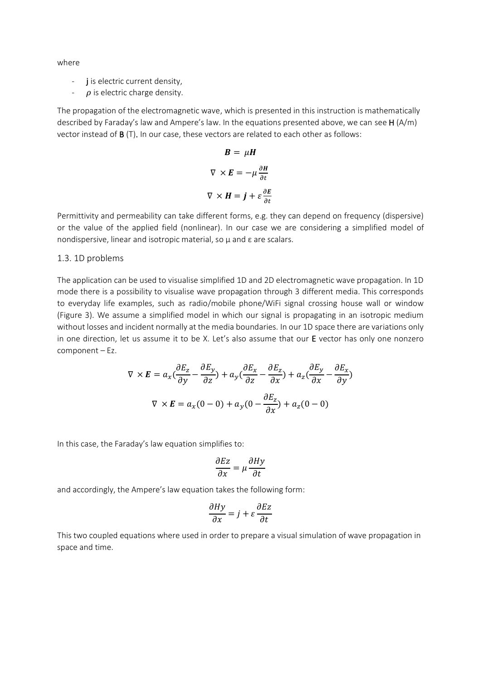where

- j is electric current density,
- $\rho$  is electric charge density.

The propagation of the electromagnetic wave, which is presented in this instruction is mathematically described by Faraday's law and Ampere's law. In the equations presented above, we can see H (A/m) vector instead of B (T). In our case, these vectors are related to each other as follows:

$$
B = \mu H
$$

$$
\nabla \times E = -\mu \frac{\partial H}{\partial t}
$$

$$
\nabla \times H = j + \varepsilon \frac{\partial E}{\partial t}
$$

Permittivity and permeability can take different forms, e.g. they can depend on frequency (dispersive) or the value of the applied field (nonlinear). In our case we are considering a simplified model of nondispersive, linear and isotropic material, so μ and ε are scalars.

#### <span id="page-5-0"></span>1.3. 1D problems

The application can be used to visualise simplified 1D and 2D electromagnetic wave propagation. In 1D mode there is a possibility to visualise wave propagation through 3 different media. This corresponds to everyday life examples, such as radio/mobile phone/WiFi signal crossing house wall or window (Figure 3). We assume a simplified model in which our signal is propagating in an isotropic medium without losses and incident normally at the media boundaries. In our 1D space there are variations only in one direction, let us assume it to be X. Let's also assume that our E vector has only one nonzero component – Ez.

$$
\nabla \times \mathbf{E} = a_x \left( \frac{\partial E_z}{\partial y} - \frac{\partial E_y}{\partial z} \right) + a_y \left( \frac{\partial E_x}{\partial z} - \frac{\partial E_z}{\partial x} \right) + a_z \left( \frac{\partial E_y}{\partial x} - \frac{\partial E_x}{\partial y} \right)
$$

$$
\nabla \times \mathbf{E} = a_x (0 - 0) + a_y (0 - \frac{\partial E_z}{\partial x}) + a_z (0 - 0)
$$

In this case, the Faraday's law equation simplifies to:

$$
\frac{\partial Ez}{\partial x} = \mu \frac{\partial Hy}{\partial t}
$$

and accordingly, the Ampere's law equation takes the following form:

$$
\frac{\partial Hy}{\partial x} = j + \varepsilon \frac{\partial Ez}{\partial t}
$$

This two coupled equations where used in order to prepare a visual simulation of wave propagation in space and time.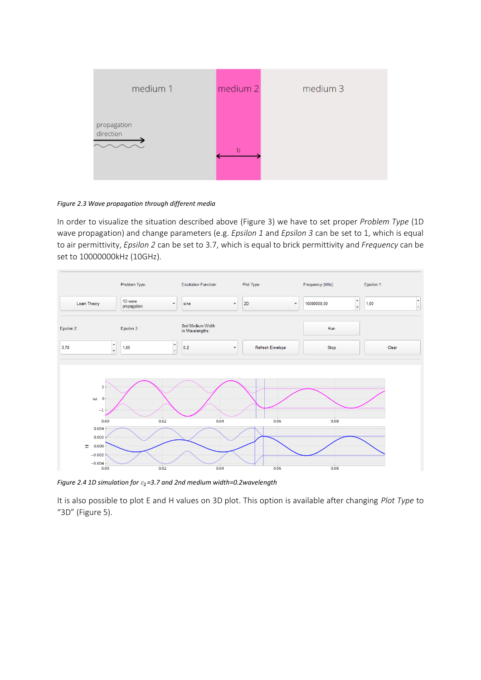

*Figure 2.3 Wave propagation through different media*

In order to visualize the situation described above (Figure 3) we have to set proper *Problem Type* (1D wave propagation) and change parameters (e.g. *Epsilon 1* and *Epsilon 3* can be set to 1, which is equal to air permittivity, *Epsilon 2* can be set to 3.7, which is equal to brick permittivity and *Frequency* can be set to 10000000kHz (10GHz).



*Figure 2.4 1D simulation for* 2*=3.7 and 2nd medium width=0.2wavelength*

It is also possible to plot E and H values on 3D plot. This option is available after changing *Plot Type* to "3D" (Figure 5).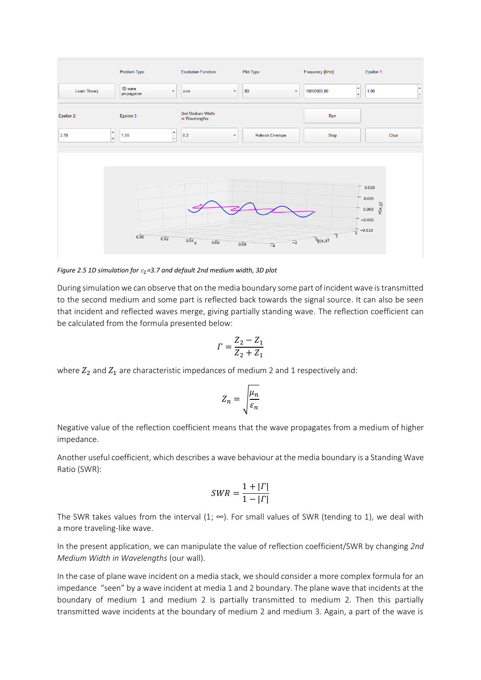

*Figure 2.5 1D simulation for* 2*=3.7 and default 2nd medium width, 3D plot*

During simulation we can observe that on the media boundary some part of incident wave is transmitted to the second medium and some part is reflected back towards the signal source. It can also be seen that incident and reflected waves merge, giving partially standing wave. The reflection coefficient can be calculated from the formula presented below:

$$
\Gamma = \frac{Z_2 - Z_1}{Z_2 + Z_1}
$$

where  $Z_2$  and  $Z_1$  are characteristic impedances of medium 2 and 1 respectively and:

$$
Z_n = \sqrt{\frac{\mu_n}{\varepsilon_n}}
$$

Negative value of the reflection coefficient means that the wave propagates from a medium of higher impedance.

Another useful coefficient, which describes a wave behaviour at the media boundary is a Standing Wave Ratio (SWR):

$$
SWR = \frac{1 + |\Gamma|}{1 - |\Gamma|}
$$

The SWR takes values from the interval  $(1; \infty)$ . For small values of SWR (tending to 1), we deal with a more traveling-like wave.

In the present application, we can manipulate the value of reflection coefficient/SWR by changing *2nd Medium Width in Wavelengths* (our wall).

In the case of plane wave incident on a media stack, we should consider a more complex formula for an impedance "seen" by a wave incident at media 1 and 2 boundary. The plane wave that incidents at the boundary of medium 1 and medium 2 is partially transmitted to medium 2. Then this partially transmitted wave incidents at the boundary of medium 2 and medium 3. Again, a part of the wave is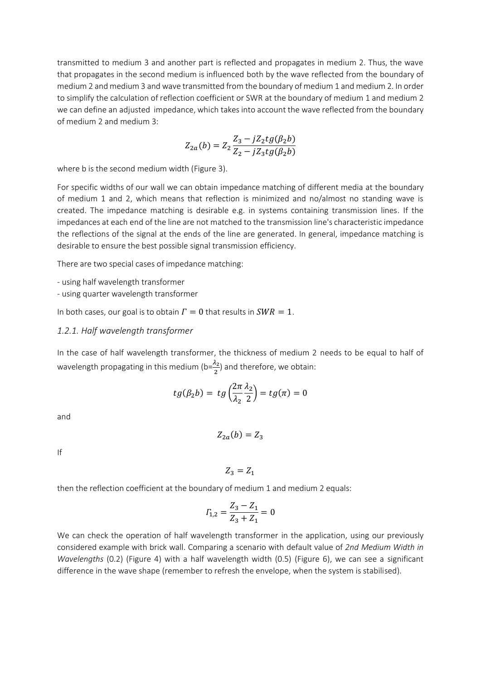transmitted to medium 3 and another part is reflected and propagates in medium 2. Thus, the wave that propagates in the second medium is influenced both by the wave reflected from the boundary of medium 2 and medium 3 and wave transmitted from the boundary of medium 1 and medium 2. In order to simplify the calculation of reflection coefficient or SWR at the boundary of medium 1 and medium 2 we can define an adjusted impedance, which takes into account the wave reflected from the boundary of medium 2 and medium 3:

$$
Z_{2a}(b) = Z_2 \frac{Z_3 - jZ_2tg(\beta_2b)}{Z_2 - jZ_3tg(\beta_2b)}
$$

where b is the second medium width (Figure 3).

For specific widths of our wall we can obtain impedance matching of different media at the boundary of medium 1 and 2, which means that reflection is minimized and no/almost no standing wave is created. The impedance matching is desirable e.g. in systems containing transmission lines. If the impedances at each end of the line are not matched to the transmission line's characteristic impedance the reflections of the signal at the ends of the line are generated. In general, impedance matching is desirable to ensure the best possible signal transmission efficiency.

There are two special cases of impedance matching:

- using half wavelength transformer

- using quarter wavelength transformer

In both cases, our goal is to obtain  $\Gamma = 0$  that results in  $SWR = 1$ .

#### <span id="page-8-0"></span>*1.2.1. Half wavelength transformer*

In the case of half wavelength transformer, the thickness of medium 2 needs to be equal to half of wavelength propagating in this medium (b= $\frac{\lambda_2}{2}$ ) and therefore, we obtain:

$$
tg(\beta_2 b) = t g\left(\frac{2\pi}{\lambda_2} \frac{\lambda_2}{2}\right) = t g(\pi) = 0
$$

and

$$
Z_{2a}(b) = Z_3
$$

If

 $Z_3 = Z_1$ 

then the reflection coefficient at the boundary of medium 1 and medium 2 equals:

$$
I_{1,2} = \frac{Z_3 - Z_1}{Z_3 + Z_1} = 0
$$

We can check the operation of half wavelength transformer in the application, using our previously considered example with brick wall. Comparing a scenario with default value of *2nd Medium Width in Wavelengths* (0.2) (Figure 4) with a half wavelength width (0.5) (Figure 6), we can see a significant difference in the wave shape (remember to refresh the envelope, when the system is stabilised).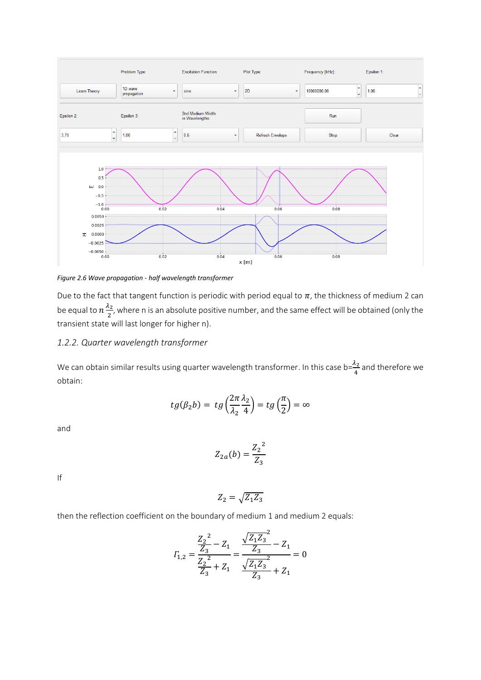

*Figure 2.6 Wave propagation - half wavelength transformer*

Due to the fact that tangent function is periodic with period equal to  $\pi$ , the thickness of medium 2 can be equal to  $n\frac{\lambda_2}{2}$  $\frac{2}{2}$ , where n is an absolute positive number, and the same effect will be obtained (only the  $^2$ transient state will last longer for higher n).

### <span id="page-9-0"></span>*1.2.2. Quarter wavelength transformer*

We can obtain similar results using quarter wavelength transformer. In this case b= $\frac{\lambda_2}{4}$  and therefore we obtain:

$$
tg(\beta_2 b) = tg\left(\frac{2\pi}{\lambda_2} \frac{\lambda_2}{4}\right) = tg\left(\frac{\pi}{2}\right) = \infty
$$

and

$$
Z_{2a}(b) = \frac{Z_2^2}{Z_3}
$$

If

$$
Z_2=\sqrt{Z_1Z_3}
$$

then the reflection coefficient on the boundary of medium 1 and medium 2 equals:

$$
I_{1,2} = \frac{\frac{Z_2^2}{Z_3} - Z_1}{\frac{Z_2^2}{Z_3} + Z_1} = \frac{\frac{\sqrt{Z_1 Z_3}^2}{Z_3} - Z_1}{\frac{\sqrt{Z_1 Z_3}^2}{Z_3} + Z_1} = 0
$$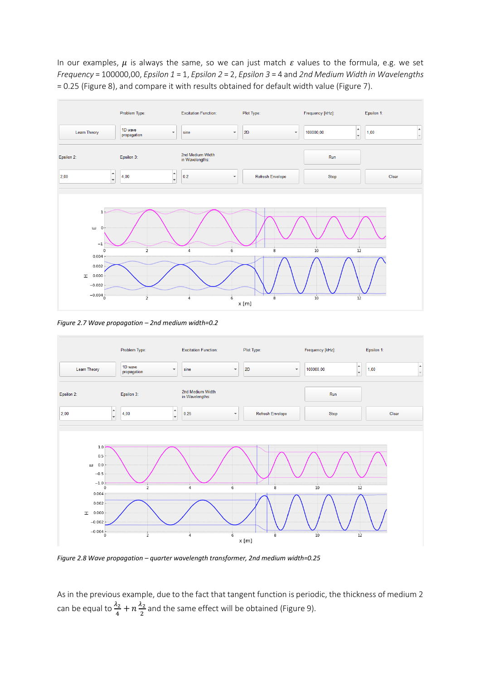In our examples,  $\mu$  is always the same, so we can just match  $\varepsilon$  values to the formula, e.g. we set *Frequency* = 100000,00, *Epsilon 1* = 1, *Epsilon 2* = 2, *Epsilon 3* = 4 and *2nd Medium Width in Wavelengths* = 0.25 (Figure 8), and compare it with results obtained for default width value (Figure 7).



*Figure 2.7 Wave propagation – 2nd medium width=0.2*



*Figure 2.8 Wave propagation – quarter wavelength transformer, 2nd medium width=0.25*

As in the previous example, due to the fact that tangent function is periodic, the thickness of medium 2 can be equal to  $\frac{\lambda_2}{4} + n \frac{\lambda_2}{2}$  $\frac{1}{2}$  and the same effect will be obtained (Figure 9).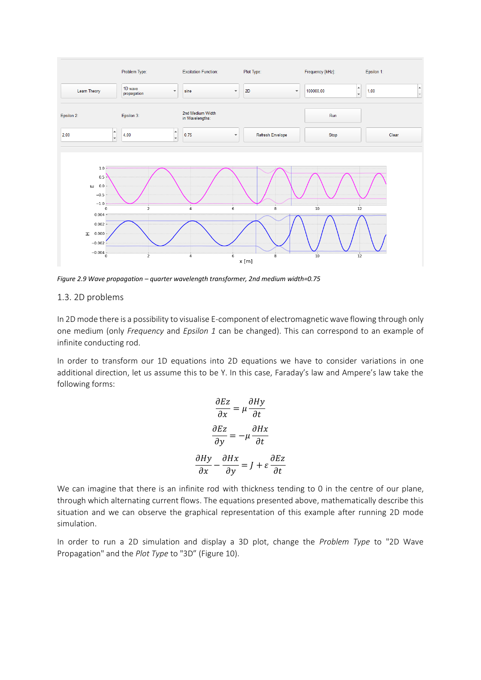

*Figure 2.9 Wave propagation – quarter wavelength transformer, 2nd medium width=0.75*

#### <span id="page-11-0"></span>1.3. 2D problems

In 2D mode there is a possibility to visualise E-component of electromagnetic wave flowing through only one medium (only *Frequency* and *Epsilon 1* can be changed). This can correspond to an example of infinite conducting rod.

In order to transform our 1D equations into 2D equations we have to consider variations in one additional direction, let us assume this to be Y. In this case, Faraday's law and Ampere's law take the following forms:

$$
\frac{\partial Ez}{\partial x} = \mu \frac{\partial Hy}{\partial t}
$$

$$
\frac{\partial Ez}{\partial y} = -\mu \frac{\partial Hx}{\partial t}
$$

$$
\frac{\partial Hy}{\partial x} - \frac{\partial Hx}{\partial y} = J + \varepsilon \frac{\partial Ez}{\partial t}
$$

We can imagine that there is an infinite rod with thickness tending to 0 in the centre of our plane, through which alternating current flows. The equations presented above, mathematically describe this situation and we can observe the graphical representation of this example after running 2D mode simulation.

In order to run a 2D simulation and display a 3D plot, change the *Problem Type* to "2D Wave Propagation" and the *Plot Type* to "3D" (Figure 10).